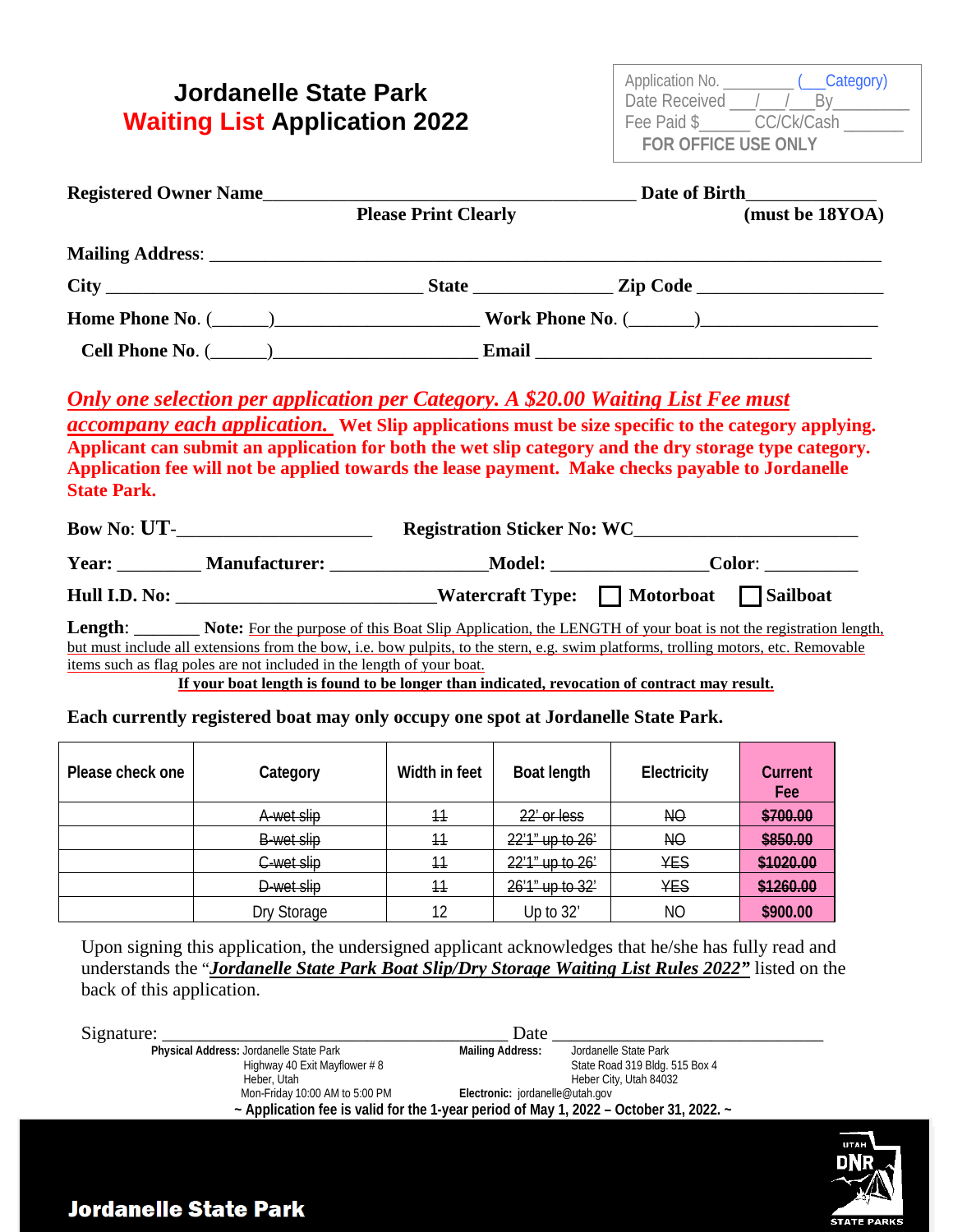## **Jordanelle State Park Waiting List Application 2022**

| Application No.            | _Category) |  |  |
|----------------------------|------------|--|--|
| Date Received              |            |  |  |
| Fee Paid \$                | CC/Ck/Cash |  |  |
| <b>FOR OFFICE USE ONLY</b> |            |  |  |

|                    | Date of Birth<br>Registered Owner Name                                |                                                                                                                                                                                                                                                                                                                                                                                                                                                                       |  |                 |  |
|--------------------|-----------------------------------------------------------------------|-----------------------------------------------------------------------------------------------------------------------------------------------------------------------------------------------------------------------------------------------------------------------------------------------------------------------------------------------------------------------------------------------------------------------------------------------------------------------|--|-----------------|--|
|                    |                                                                       | <b>Please Print Clearly</b>                                                                                                                                                                                                                                                                                                                                                                                                                                           |  | (must be 18YOA) |  |
|                    |                                                                       |                                                                                                                                                                                                                                                                                                                                                                                                                                                                       |  |                 |  |
|                    |                                                                       |                                                                                                                                                                                                                                                                                                                                                                                                                                                                       |  |                 |  |
|                    |                                                                       |                                                                                                                                                                                                                                                                                                                                                                                                                                                                       |  |                 |  |
|                    |                                                                       |                                                                                                                                                                                                                                                                                                                                                                                                                                                                       |  |                 |  |
| <b>State Park.</b> |                                                                       | <b>Only one selection per application per Category. A \$20.00 Waiting List Fee must</b><br><i>accompany each application.</i> Wet Slip applications must be size specific to the category applying.<br>Applicant can submit an application for both the wet slip category and the dry storage type category.<br>Application fee will not be applied towards the lease payment. Make checks payable to Jordanelle<br>Bow No: UT-<br><u>Registration Sticker No: WC</u> |  |                 |  |
|                    |                                                                       | Year: Manufacturer: Model: Model: Color: Model: Model: Model: Model: Model: Model: Model: Model: Model: Model: Model: Model: Model: Model: Model: Model: Model: Model: Model: Model: Model: Model: Model: Model: Model: Model:                                                                                                                                                                                                                                        |  |                 |  |
|                    |                                                                       | Hull I.D. No: ____________________________Watercraft Type: Motorboat Missilboat                                                                                                                                                                                                                                                                                                                                                                                       |  |                 |  |
|                    | items such as flag poles are not included in the length of your boat. | Length: Note: For the purpose of this Boat Slip Application, the LENGTH of your boat is not the registration length,<br>but must include all extensions from the bow, i.e. bow pulpits, to the stern, e.g. swim platforms, trolling motors, etc. Removable<br>If your boat length is found to be longer than indicated, revocation of contract may result.                                                                                                            |  |                 |  |
|                    |                                                                       | Each currently registered boat may only occupy one spot at Jordanelle State Park.                                                                                                                                                                                                                                                                                                                                                                                     |  |                 |  |

| Please check one | Category    | Width in feet | Boat length     | Electricity    | Current<br>Fee |
|------------------|-------------|---------------|-----------------|----------------|----------------|
|                  | A wet slip  | 44            | 22' or less     | N <sub>O</sub> | \$700.00       |
|                  | B wet slip  | 44            | 22'1" up to 26' | N <sub>O</sub> | \$850.00       |
|                  | C wet slip  | 44            | 22'1" up to 26' | <b>YES</b>     | \$1020.00      |
|                  | D-wet slip  | 44            | 26'1" up to 32' | <b>YES</b>     | \$1260.00      |
|                  | Dry Storage | 12            | Up to 32'       | NO             | \$900.00       |

Upon signing this application, the undersigned applicant acknowledges that he/she has fully read and understands the "*Jordanelle State Park Boat Slip/Dry Storage Waiting List Rules 2022"* listed on the back of this application.

| Signature:                                                                             | Date                                                                                                                               |
|----------------------------------------------------------------------------------------|------------------------------------------------------------------------------------------------------------------------------------|
| Physical Address: Jordanelle State Park<br>Highway 40 Exit Mayflower #8<br>Heber, Utah | <b>Mailing Address:</b><br>Jordanelle State Park<br>State Road 319 Bldg. 515 Box 4<br>Heber City, Utah 84032                       |
| Mon-Friday 10:00 AM to 5:00 PM                                                         | Electronic: jordanelle@utah.gov<br>$\sim$ Application fee is valid for the 1-year period of May 1, 2022 – October 31, 2022. $\sim$ |



## **Jordanelle State Park**